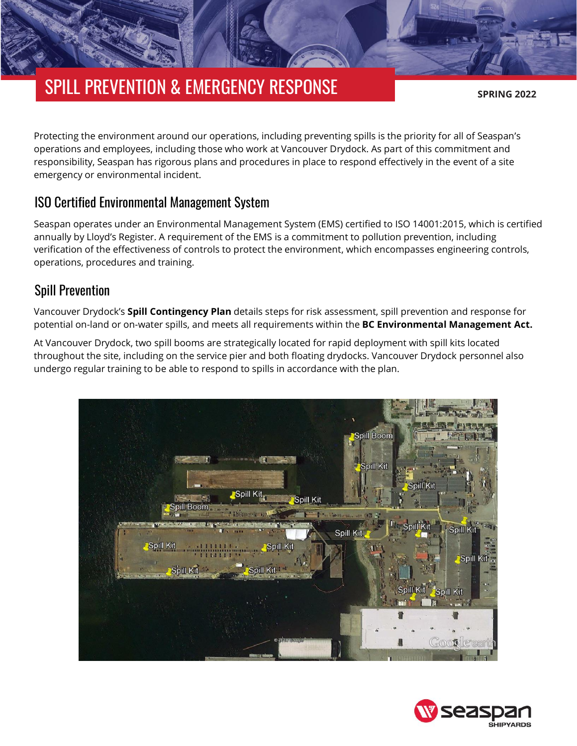# SPILL PREVENTION & EMERGENCY RESPONSE

**SPRING 2022**

Protecting the environment around our operations, including preventing spills is the priority for all of Seaspan's operations and employees, including those who work at Vancouver Drydock. As part of this commitment and responsibility, Seaspan has rigorous plans and procedures in place to respond effectively in the event of a site emergency or environmental incident.

#### ISO Certified Environmental Management System

Seaspan operates under an Environmental Management System (EMS) certified to ISO 14001:2015, which is certified annually by Lloyd's Register. A requirement of the EMS is a commitment to pollution prevention, including verification of the effectiveness of controls to protect the environment, which encompasses engineering controls, operations, procedures and training.

#### Spill Prevention

Vancouver Drydock's **[Spill Contingency](https://drydockprojects.com/wp-content/uploads/2022/03/Vancouver-Drydock-Spill-Contingency-Plan.pdf) Plan** details steps for risk assessment, spill prevention and response for potential on-land or on-water spills, and meets all requirements within the **[BC Environmental Management Act.](https://www.bclaws.gov.bc.ca/civix/document/id/complete/statreg/03053_00)**

At Vancouver Drydock, two spill booms are strategically located for rapid deployment with spill kits located throughout the site, including on the service pier and both floating drydocks. Vancouver Drydock personnel also undergo regular training to be able to respond to spills in accordance with the plan.